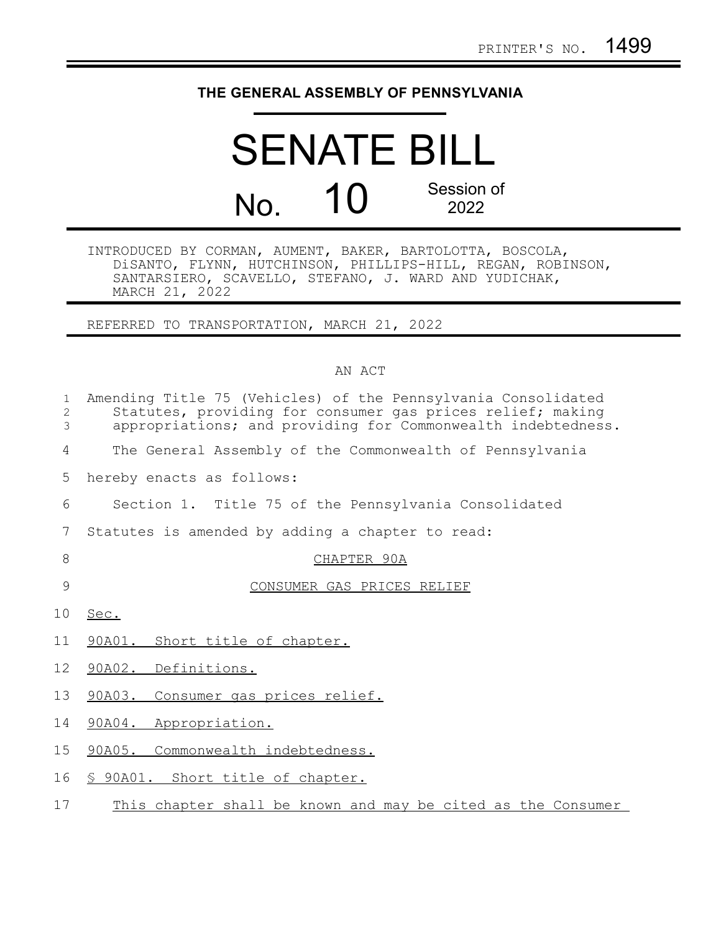## **THE GENERAL ASSEMBLY OF PENNSYLVANIA**

## SENATE BILL No. 10 Session of 2022

INTRODUCED BY CORMAN, AUMENT, BAKER, BARTOLOTTA, BOSCOLA, DiSANTO, FLYNN, HUTCHINSON, PHILLIPS-HILL, REGAN, ROBINSON, SANTARSIERO, SCAVELLO, STEFANO, J. WARD AND YUDICHAK, MARCH 21, 2022

REFERRED TO TRANSPORTATION, MARCH 21, 2022

## AN ACT

| $\mathbf{1}$<br>2<br>3 | Amending Title 75 (Vehicles) of the Pennsylvania Consolidated<br>Statutes, providing for consumer gas prices relief; making<br>appropriations; and providing for Commonwealth indebtedness. |
|------------------------|---------------------------------------------------------------------------------------------------------------------------------------------------------------------------------------------|
| 4                      | The General Assembly of the Commonwealth of Pennsylvania                                                                                                                                    |
| 5                      | hereby enacts as follows:                                                                                                                                                                   |
| 6                      | Section 1. Title 75 of the Pennsylvania Consolidated                                                                                                                                        |
| 7                      | Statutes is amended by adding a chapter to read:                                                                                                                                            |
| 8                      | CHAPTER 90A                                                                                                                                                                                 |
| 9                      | CONSUMER GAS PRICES RELIEF                                                                                                                                                                  |
| 10 <sub>o</sub>        | Sec.                                                                                                                                                                                        |
| 11                     | 90A01. Short title of chapter.                                                                                                                                                              |
| 12                     | 90A02. Definitions.                                                                                                                                                                         |
| 13                     | 90A03. Consumer gas prices relief.                                                                                                                                                          |
| 14                     | 90A04. Appropriation.                                                                                                                                                                       |
| 15 <sub>1</sub>        | 90A05. Commonwealth indebtedness.                                                                                                                                                           |
| 16                     | § 90A01. Short title of chapter.                                                                                                                                                            |

This chapter shall be known and may be cited as the Consumer 17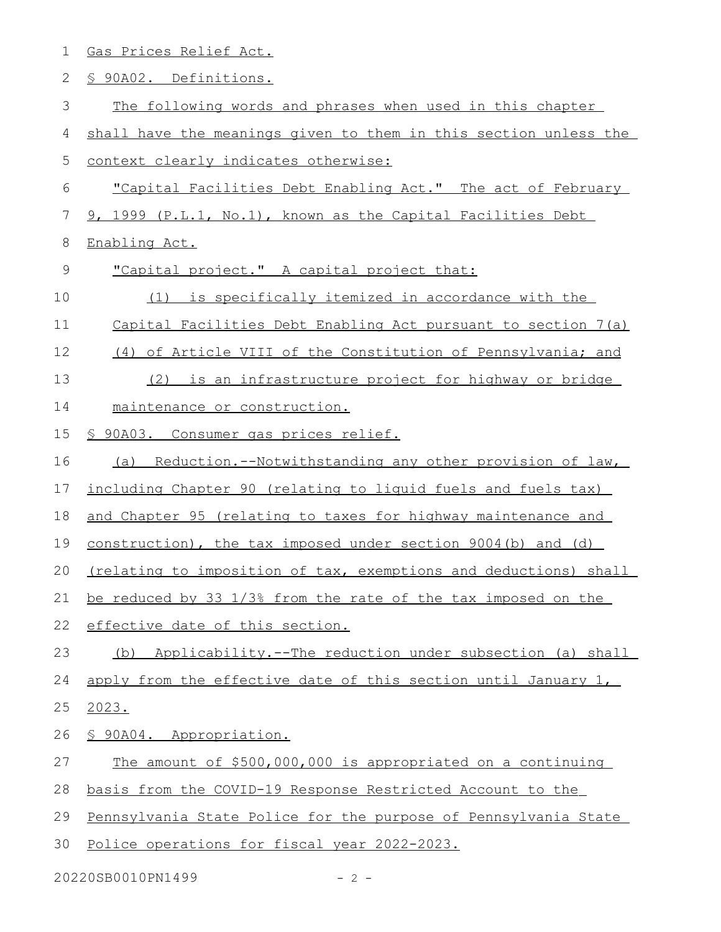| $\mathbf 1$  | Gas Prices Relief Act.                                           |
|--------------|------------------------------------------------------------------|
| $\mathbf{2}$ | <u>S 90A02. Definitions.</u>                                     |
| 3            | The following words and phrases when used in this chapter        |
| 4            | shall have the meanings given to them in this section unless the |
| 5            | context clearly indicates otherwise:                             |
| 6            | "Capital Facilities Debt Enabling Act." The act of February      |
| 7            | 9, 1999 (P.L.1, No.1), known as the Capital Facilities Debt      |
| 8            | Enabling Act.                                                    |
| $\mathsf 9$  | "Capital project." A capital project that:                       |
| 10           | (1) is specifically itemized in accordance with the              |
| 11           | Capital Facilities Debt Enabling Act pursuant to section 7(a)    |
| 12           | (4) of Article VIII of the Constitution of Pennsylvania; and     |
| 13           | (2) is an infrastructure project for highway or bridge           |
| 14           | maintenance or construction.                                     |
| 15           | <u>S 90A03. Consumer gas prices relief.</u>                      |
| 16           | (a) Reduction.--Notwithstanding any other provision of law,      |
| 17           | including Chapter 90 (relating to liguid fuels and fuels tax)    |
| 18           | and Chapter 95 (relating to taxes for highway maintenance and    |
| 19           | construction), the tax imposed under section 9004(b) and (d)     |
| 20           | (relating to imposition of tax, exemptions and deductions) shall |
| 21           | be reduced by 33 1/3% from the rate of the tax imposed on the    |
| 22           | effective date of this section.                                  |
| 23           | Applicability.--The reduction under subsection (a) shall<br>(b)  |
| 24           | apply from the effective date of this section until January 1,   |
| 25           | 2023.                                                            |
| 26           | § 90A04. Appropriation.                                          |
| 27           | The amount of \$500,000,000 is appropriated on a continuing      |
| 28           | basis from the COVID-19 Response Restricted Account to the       |
| 29           | Pennsylvania State Police for the purpose of Pennsylvania State  |
| 30           | Police operations for fiscal year 2022-2023.                     |
|              |                                                                  |

20220SB0010PN1499 - 2 -